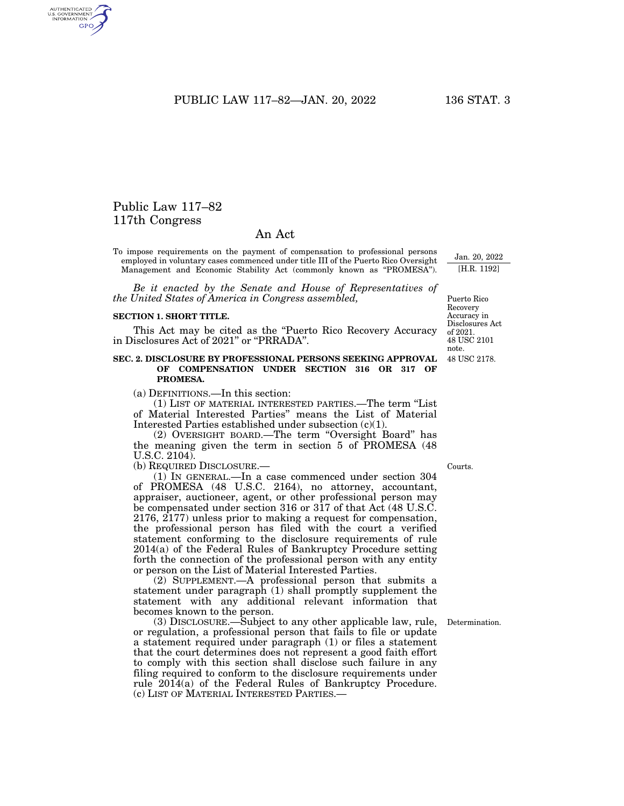PUBLIC LAW 117–82—JAN. 20, 2022 136 STAT. 3

## Public Law 117–82 117th Congress

## An Act

To impose requirements on the payment of compensation to professional persons employed in voluntary cases commenced under title III of the Puerto Rico Oversight Management and Economic Stability Act (commonly known as ''PROMESA'').

*Be it enacted by the Senate and House of Representatives of the United States of America in Congress assembled,* 

## **SECTION 1. SHORT TITLE.**

This Act may be cited as the ''Puerto Rico Recovery Accuracy in Disclosures Act of 2021'' or ''PRRADA''.

## **SEC. 2. DISCLOSURE BY PROFESSIONAL PERSONS SEEKING APPROVAL OF COMPENSATION UNDER SECTION 316 OR 317 OF PROMESA.**

(a) DEFINITIONS.—In this section:

(1) LIST OF MATERIAL INTERESTED PARTIES.—The term ''List of Material Interested Parties'' means the List of Material Interested Parties established under subsection (c)(1).

(2) OVERSIGHT BOARD.—The term ''Oversight Board'' has the meaning given the term in section 5 of PROMESA (48 U.S.C. 2104).

(b) REQUIRED DISCLOSURE.—

(1) IN GENERAL.—In a case commenced under section 304 of PROMESA (48 U.S.C. 2164), no attorney, accountant, appraiser, auctioneer, agent, or other professional person may be compensated under section 316 or 317 of that Act (48 U.S.C. 2176, 2177) unless prior to making a request for compensation, the professional person has filed with the court a verified statement conforming to the disclosure requirements of rule 2014(a) of the Federal Rules of Bankruptcy Procedure setting forth the connection of the professional person with any entity or person on the List of Material Interested Parties.

(2) SUPPLEMENT.—A professional person that submits a statement under paragraph (1) shall promptly supplement the statement with any additional relevant information that becomes known to the person.

(3) DISCLOSURE.—Subject to any other applicable law, rule, or regulation, a professional person that fails to file or update a statement required under paragraph (1) or files a statement that the court determines does not represent a good faith effort to comply with this section shall disclose such failure in any filing required to conform to the disclosure requirements under rule 2014(a) of the Federal Rules of Bankruptcy Procedure. (c) LIST OF MATERIAL INTERESTED PARTIES.—

48 USC 2178. Accuracy in Disclosures Act of 2021. 48 USC 2101 note.

Puerto Rico Recovery

Jan. 20, 2022 [H.R. 1192]

Courts.

Determination.

AUTHENTICATED<br>U.S. GOVERNMENT<br>INFORMATION GPO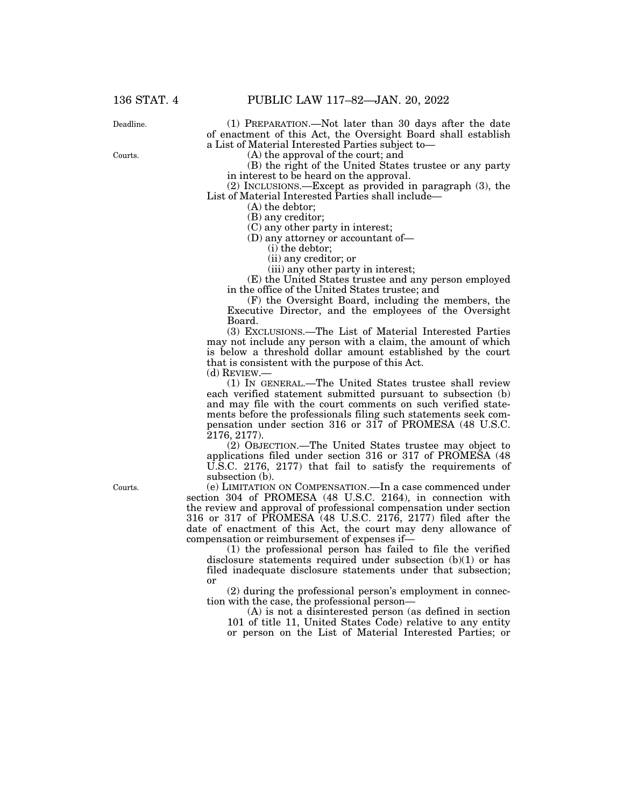136 STAT. 4 PUBLIC LAW 117–82—JAN. 20, 2022

(1) PREPARATION.—Not later than 30 days after the date of enactment of this Act, the Oversight Board shall establish a List of Material Interested Parties subject to—

(A) the approval of the court; and

(B) the right of the United States trustee or any party in interest to be heard on the approval.

(2) INCLUSIONS.—Except as provided in paragraph (3), the List of Material Interested Parties shall include—

(A) the debtor; (B) any creditor;

(C) any other party in interest;

(D) any attorney or accountant of—

(i) the debtor;

(ii) any creditor; or

(iii) any other party in interest;

(E) the United States trustee and any person employed in the office of the United States trustee; and

(F) the Oversight Board, including the members, the Executive Director, and the employees of the Oversight Board.

(3) EXCLUSIONS.—The List of Material Interested Parties may not include any person with a claim, the amount of which is below a threshold dollar amount established by the court that is consistent with the purpose of this Act.

(d) REVIEW.—

(1) IN GENERAL.—The United States trustee shall review each verified statement submitted pursuant to subsection (b) and may file with the court comments on such verified statements before the professionals filing such statements seek compensation under section 316 or 317 of PROMESA (48 U.S.C. 2176, 2177).

(2) OBJECTION.—The United States trustee may object to applications filed under section 316 or 317 of PROMESA (48 U.S.C. 2176, 2177) that fail to satisfy the requirements of subsection (b).

(e) LIMITATION ON COMPENSATION.—In a case commenced under section 304 of PROMESA (48 U.S.C. 2164), in connection with the review and approval of professional compensation under section 316 or 317 of PROMESA (48 U.S.C. 2176, 2177) filed after the date of enactment of this Act, the court may deny allowance of compensation or reimbursement of expenses if—

(1) the professional person has failed to file the verified disclosure statements required under subsection (b)(1) or has filed inadequate disclosure statements under that subsection; or

(2) during the professional person's employment in connection with the case, the professional person—

(A) is not a disinterested person (as defined in section 101 of title 11, United States Code) relative to any entity or person on the List of Material Interested Parties; or

Courts.

Deadline.

Courts.